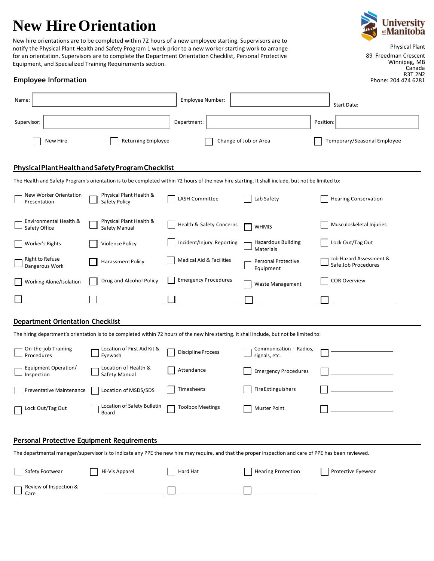# **New HireOrientation**





89 Freedman Crescent Winnipeg, MB Canada R3T 2N2

Phone: 204 474 6281

**Employee Information**

| Name:                                                                                                                                                  |                                                                                                                                           | Employee Number:            |                                          | Start Date:                                    |  |  |  |  |  |  |
|--------------------------------------------------------------------------------------------------------------------------------------------------------|-------------------------------------------------------------------------------------------------------------------------------------------|-----------------------------|------------------------------------------|------------------------------------------------|--|--|--|--|--|--|
| Supervisor:                                                                                                                                            |                                                                                                                                           | Department:                 |                                          | Position:                                      |  |  |  |  |  |  |
| New Hire                                                                                                                                               | <b>Returning Employee</b>                                                                                                                 |                             | Change of Job or Area                    | Temporary/Seasonal Employee                    |  |  |  |  |  |  |
| Physical Plant Health and Safety Program Checklist                                                                                                     |                                                                                                                                           |                             |                                          |                                                |  |  |  |  |  |  |
| The Health and Safety Program's orientation is to be completed within 72 hours of the new hire starting. It shall include, but not be limited to:      |                                                                                                                                           |                             |                                          |                                                |  |  |  |  |  |  |
| New Worker Orientation<br>Presentation                                                                                                                 | Physical Plant Health &<br>Safety Policy                                                                                                  | LASH Committee              | Lab Safety                               | <b>Hearing Conservation</b>                    |  |  |  |  |  |  |
| Environmental Health &<br>Safety Office                                                                                                                | Physical Plant Health &<br>Safety Manual                                                                                                  | Health & Safety Concerns    | <b>WHMIS</b>                             | Musculoskeletal Injuries                       |  |  |  |  |  |  |
| <b>Worker's Rights</b>                                                                                                                                 | Violence Policy                                                                                                                           | Incident/Injury Reporting   | <b>Hazardous Building</b><br>Materials   | Lock Out/Tag Out                               |  |  |  |  |  |  |
| <b>Right to Refuse</b><br>Dangerous Work                                                                                                               | Harassment Policy                                                                                                                         | Medical Aid & Facilities    | Personal Protective<br>Equipment         | Job Hazard Assessment &<br>Safe Job Procedures |  |  |  |  |  |  |
| Working Alone/Isolation                                                                                                                                | Drug and Alcohol Policy                                                                                                                   | <b>Emergency Procedures</b> | Waste Management                         | <b>COR Overview</b>                            |  |  |  |  |  |  |
|                                                                                                                                                        |                                                                                                                                           |                             |                                          |                                                |  |  |  |  |  |  |
| <b>Department Orientation Checklist</b>                                                                                                                |                                                                                                                                           |                             |                                          |                                                |  |  |  |  |  |  |
|                                                                                                                                                        | The hiring department's orientation is to be completed within 72 hours of the new hire starting. It shall include, but not be limited to: |                             |                                          |                                                |  |  |  |  |  |  |
| On-the-job Training<br>Procedures                                                                                                                      | Location of First Aid Kit &<br>Eyewash                                                                                                    | Discipline Process          | Communication - Radios,<br>signals, etc. |                                                |  |  |  |  |  |  |
| Equipment Operation/<br>Inspection                                                                                                                     | Location of Health &<br>Safety Manual                                                                                                     | Attendance                  | <b>Emergency Procedures</b>              |                                                |  |  |  |  |  |  |
| Preventative Maintenance                                                                                                                               | Location of MSDS/SDS                                                                                                                      | Timesheets                  | <b>Fire Extinguishers</b>                |                                                |  |  |  |  |  |  |
| Lock Out/Tag Out                                                                                                                                       | Location of Safety Bulletin<br>Board                                                                                                      | <b>Toolbox Meetings</b>     | <b>Muster Point</b>                      |                                                |  |  |  |  |  |  |
| <b>Personal Protective Equipment Requirements</b>                                                                                                      |                                                                                                                                           |                             |                                          |                                                |  |  |  |  |  |  |
| The departmental manager/supervisor is to indicate any PPE the new hire may require, and that the proper inspection and care of PPE has been reviewed. |                                                                                                                                           |                             |                                          |                                                |  |  |  |  |  |  |
| Safety Footwear                                                                                                                                        | Hi-Vis Apparel                                                                                                                            | Hard Hat                    | <b>Hearing Protection</b>                | Protective Eyewear                             |  |  |  |  |  |  |
| Review of Inspection &<br>Care                                                                                                                         |                                                                                                                                           |                             |                                          |                                                |  |  |  |  |  |  |